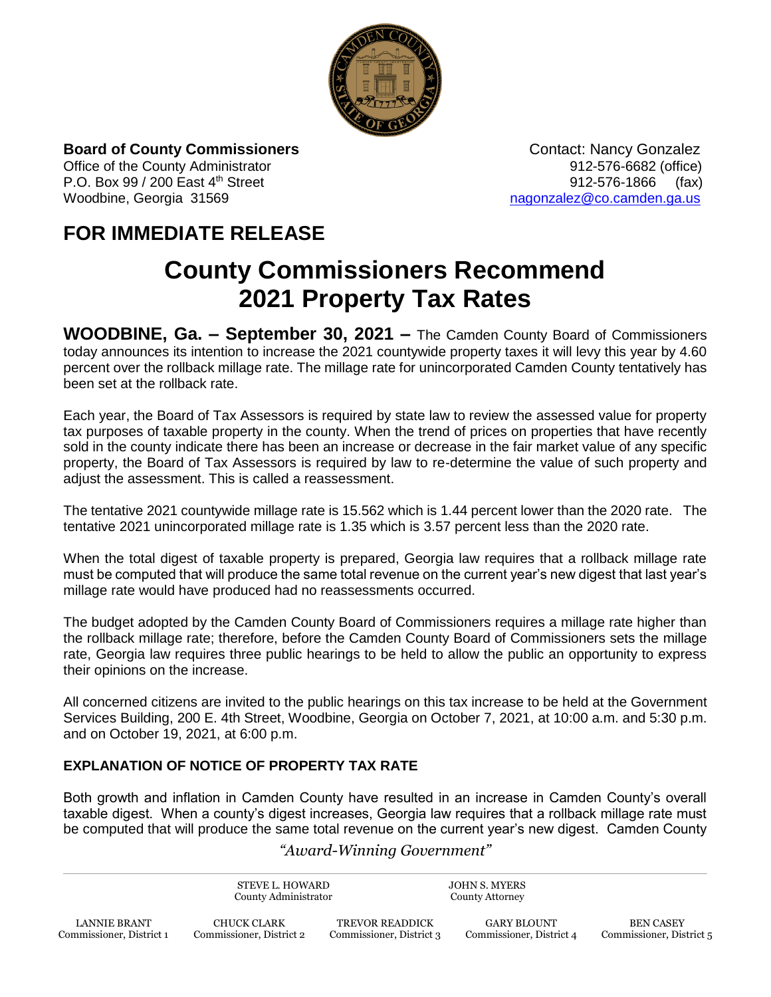

**Board of County Commissioners CONTER 1899** Contact: Nancy Gonzalez

P.O. Box 99 / 200 East 4<sup>th</sup> Street 912-576-1866 (fax) Woodbine, Georgia 31569 [nagonzalez@co.camden.ga.us](mailto:nagonzalez@co.camden.ga.us)

Office of the County Administrator **912-576-6682** (office)

## **FOR IMMEDIATE RELEASE**

# **County Commissioners Recommend 2021 Property Tax Rates**

**WOODBINE, Ga. – September 30, 2021 –** The Camden County Board of Commissioners today announces its intention to increase the 2021 countywide property taxes it will levy this year by 4.60 percent over the rollback millage rate. The millage rate for unincorporated Camden County tentatively has been set at the rollback rate.

Each year, the Board of Tax Assessors is required by state law to review the assessed value for property tax purposes of taxable property in the county. When the trend of prices on properties that have recently sold in the county indicate there has been an increase or decrease in the fair market value of any specific property, the Board of Tax Assessors is required by law to re-determine the value of such property and adjust the assessment. This is called a reassessment.

The tentative 2021 countywide millage rate is 15.562 which is 1.44 percent lower than the 2020 rate. The tentative 2021 unincorporated millage rate is 1.35 which is 3.57 percent less than the 2020 rate.

When the total digest of taxable property is prepared, Georgia law requires that a rollback millage rate must be computed that will produce the same total revenue on the current year's new digest that last year's millage rate would have produced had no reassessments occurred.

The budget adopted by the Camden County Board of Commissioners requires a millage rate higher than the rollback millage rate; therefore, before the Camden County Board of Commissioners sets the millage rate, Georgia law requires three public hearings to be held to allow the public an opportunity to express their opinions on the increase.

All concerned citizens are invited to the public hearings on this tax increase to be held at the Government Services Building, 200 E. 4th Street, Woodbine, Georgia on October 7, 2021, at 10:00 a.m. and 5:30 p.m. and on October 19, 2021, at 6:00 p.m.

#### **EXPLANATION OF NOTICE OF PROPERTY TAX RATE**

Both growth and inflation in Camden County have resulted in an increase in Camden County's overall taxable digest. When a county's digest increases, Georgia law requires that a rollback millage rate must be computed that will produce the same total revenue on the current year's new digest. Camden County

#### *"Award-Winning Government"*

STEVE L. HOWARD County Administrator

JOHN S. MYERS County Attorney

TREVOR READDICK Commissioner, District 3